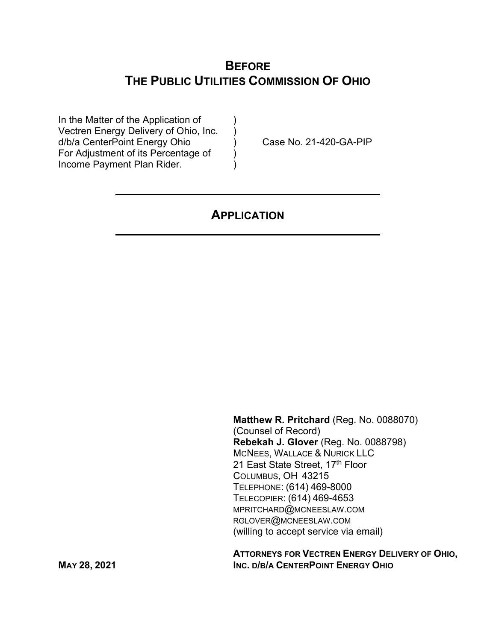# **BEFORE THE PUBLIC UTILITIES COMMISSION OF OHIO**

In the Matter of the Application of Vectren Energy Delivery of Ohio, Inc. ) d/b/a CenterPoint Energy Ohio ) Case No. 21-420-GA-PIP For Adjustment of its Percentage of  $\qquad$  ) Income Payment Plan Rider.

# **APPLICATION**

**Matthew R. Pritchard** (Reg. No. 0088070) (Counsel of Record) **Rebekah J. Glover** (Reg. No. 0088798) MCNEES, WALLACE & NURICK LLC 21 East State Street, 17th Floor COLUMBUS, OH 43215 TELEPHONE: (614) 469-8000 TELECOPIER: (614) 469-4653 MPRITCHARD@MCNEESLAW.COM RGLOVER@MCNEESLAW.COM (willing to accept service via email)

 **ATTORNEYS FOR VECTREN ENERGY DELIVERY OF OHIO, MAY 28, 2021 INC. D/B/A CENTERPOINT ENERGY OHIO**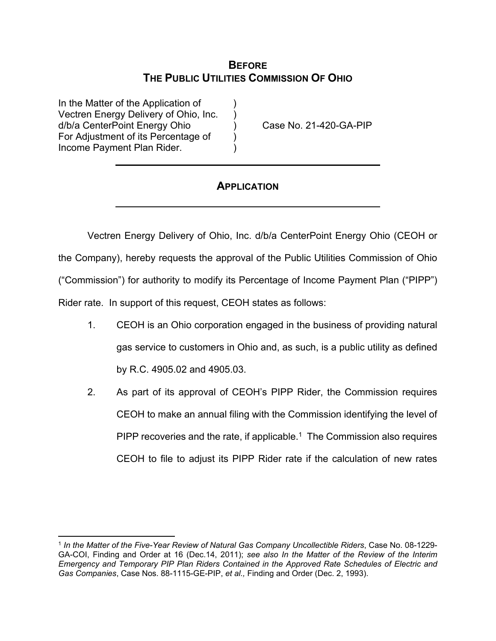## **BEFORE THE PUBLIC UTILITIES COMMISSION OF OHIO**

In the Matter of the Application of Vectren Energy Delivery of Ohio, Inc. ) d/b/a CenterPoint Energy Ohio ) Case No. 21-420-GA-PIP For Adjustment of its Percentage of ) Income Payment Plan Rider. )

## **APPLICATION**

Vectren Energy Delivery of Ohio, Inc. d/b/a CenterPoint Energy Ohio (CEOH or the Company), hereby requests the approval of the Public Utilities Commission of Ohio ("Commission") for authority to modify its Percentage of Income Payment Plan ("PIPP") Rider rate. In support of this request, CEOH states as follows:

- 1. CEOH is an Ohio corporation engaged in the business of providing natural gas service to customers in Ohio and, as such, is a public utility as defined by R.C. 4905.02 and 4905.03.
- 2. As part of its approval of CEOH's PIPP Rider, the Commission requires CEOH to make an annual filing with the Commission identifying the level of PIPP recoveries and the rate, if applicable.<sup>1</sup> The Commission also requires CEOH to file to adjust its PIPP Rider rate if the calculation of new rates

<sup>1</sup> *In the Matter of the Five-Year Review of Natural Gas Company Uncollectible Riders*, Case No. 08-1229- GA-COI, Finding and Order at 16 (Dec.14, 2011); *see also In the Matter of the Review of the Interim Emergency and Temporary PIP Plan Riders Contained in the Approved Rate Schedules of Electric and Gas Companies*, Case Nos. 88-1115-GE-PIP, *et al.,* Finding and Order (Dec. 2, 1993).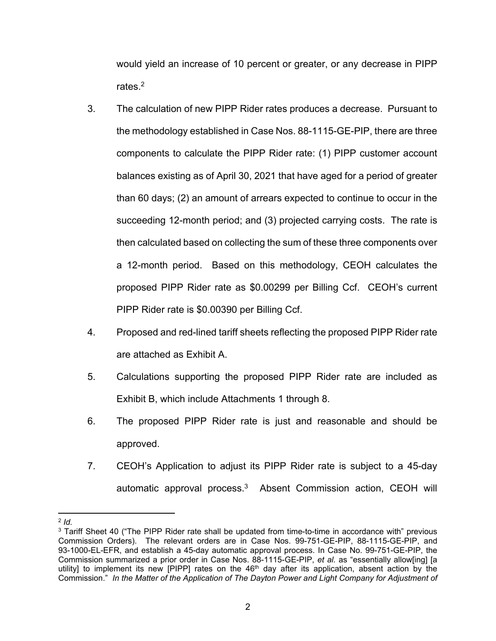would yield an increase of 10 percent or greater, or any decrease in PIPP rates $2$ 

- 3. The calculation of new PIPP Rider rates produces a decrease. Pursuant to the methodology established in Case Nos. 88-1115-GE-PIP, there are three components to calculate the PIPP Rider rate: (1) PIPP customer account balances existing as of April 30, 2021 that have aged for a period of greater than 60 days; (2) an amount of arrears expected to continue to occur in the succeeding 12-month period; and (3) projected carrying costs. The rate is then calculated based on collecting the sum of these three components over a 12-month period. Based on this methodology, CEOH calculates the proposed PIPP Rider rate as \$0.00299 per Billing Ccf. CEOH's current PIPP Rider rate is \$0.00390 per Billing Ccf.
- 4. Proposed and red-lined tariff sheets reflecting the proposed PIPP Rider rate are attached as Exhibit A.
- 5. Calculations supporting the proposed PIPP Rider rate are included as Exhibit B, which include Attachments 1 through 8.
- 6. The proposed PIPP Rider rate is just and reasonable and should be approved.
- 7. CEOH's Application to adjust its PIPP Rider rate is subject to a 45-day automatic approval process. 3 Absent Commission action, CEOH will

 $2$  *Id.* 

<sup>&</sup>lt;sup>3</sup> Tariff Sheet 40 ("The PIPP Rider rate shall be updated from time-to-time in accordance with" previous Commission Orders). The relevant orders are in Case Nos. 99-751-GE-PIP, 88-1115-GE-PIP, and 93-1000-EL-EFR, and establish a 45-day automatic approval process. In Case No. 99-751-GE-PIP, the Commission summarized a prior order in Case Nos. 88-1115-GE-PIP, *et al.* as "essentially allow[ing] [a utility] to implement its new [PIPP] rates on the 46<sup>th</sup> day after its application, absent action by the Commission." *In the Matter of the Application of The Dayton Power and Light Company for Adjustment of*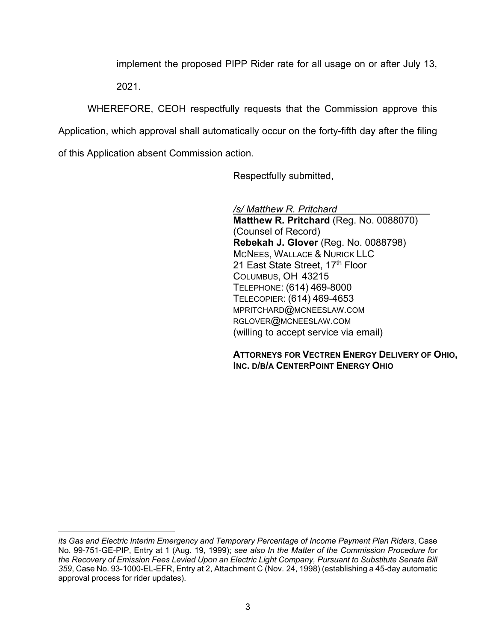implement the proposed PIPP Rider rate for all usage on or after July 13,

2021.

WHEREFORE, CEOH respectfully requests that the Commission approve this Application, which approval shall automatically occur on the forty-fifth day after the filing of this Application absent Commission action.

Respectfully submitted,

*/s/ Matthew R. Pritchard*  **Matthew R. Pritchard** (Reg. No. 0088070) (Counsel of Record) **Rebekah J. Glover** (Reg. No. 0088798) MCNEES, WALLACE & NURICK LLC 21 East State Street, 17th Floor COLUMBUS, OH 43215 TELEPHONE: (614) 469-8000 TELECOPIER: (614) 469-4653 MPRITCHARD@MCNEESLAW.COM RGLOVER@MCNEESLAW.COM (willing to accept service via email)

**ATTORNEYS FOR VECTREN ENERGY DELIVERY OF OHIO, INC. D/B/A CENTERPOINT ENERGY OHIO**

*its Gas and Electric Interim Emergency and Temporary Percentage of Income Payment Plan Riders*, Case No. 99-751-GE-PIP, Entry at 1 (Aug. 19, 1999); *see also In the Matter of the Commission Procedure for the Recovery of Emission Fees Levied Upon an Electric Light Company, Pursuant to Substitute Senate Bill 359*, Case No. 93-1000-EL-EFR, Entry at 2, Attachment C (Nov. 24, 1998) (establishing a 45-day automatic approval process for rider updates).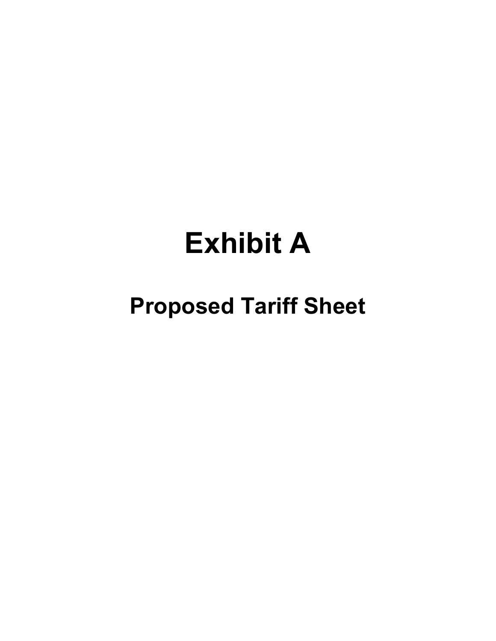# **Exhibit A**

# **Proposed Tariff Sheet**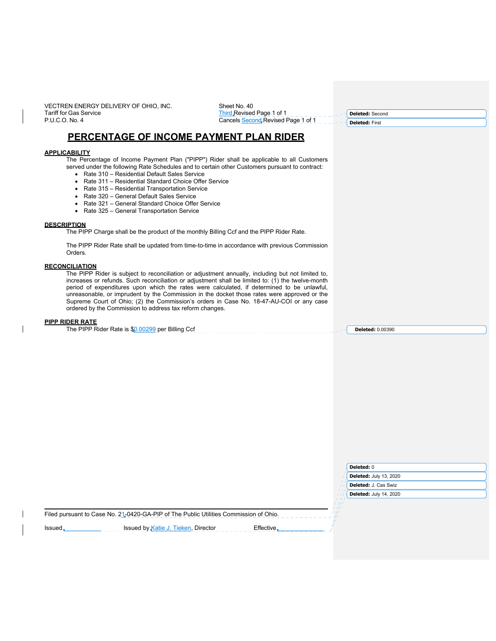VECTREN ENERGY DELIVERY OF OHIO, INC. Tariff for Gas Service P.U.C.O. No. 4

Sheet No. 40

Third Revised Page 1 of 1 Cancels Second Revised Page 1 of 1 **Deleted:** Second **Deleted:** First

## **PERCENTAGE OF INCOME PAYMENT PLAN RIDER**

### **APPLICABILITY**

The Percentage of Income Payment Plan ("PIPP") Rider shall be applicable to all Customers served under the following Rate Schedules and to certain other Customers pursuant to contract:

- Rate 310 Residential Default Sales Service
- Rate 311 Residential Standard Choice Offer Service
- Rate 315 Residential Transportation Service
- Rate 320 General Default Sales Service
- Rate 321 General Standard Choice Offer Service
- Rate 325 General Transportation Service

#### **DESCRIPTION**

The PIPP Charge shall be the product of the monthly Billing Ccf and the PIPP Rider Rate.

The PIPP Rider Rate shall be updated from time-to-time in accordance with previous Commission Orders.

### **RECONCILIATION**

The PIPP Rider is subject to reconciliation or adjustment annually, including but not limited to, increases or refunds. Such reconciliation or adjustment shall be limited to: (1) the twelve-month period of expenditures upon which the rates were calculated, if determined to be unlawful, unreasonable, or imprudent by the Commission in the docket those rates were approved or the Supreme Court of Ohio; (2) the Commission's orders in Case No. 18-47-AU-COI or any case ordered by the Commission to address tax reform changes.

#### **PIPP RIDER RATE**

| Billina<br>. no ooc<br>per<br>⊀ate<br>JOP.<br>3111<br>11 <del>.</del><br>,,,,,,,,<br>וטע | )0390 |  |
|------------------------------------------------------------------------------------------|-------|--|
|                                                                                          |       |  |

|                                                                                       |                          | <b>Deleted: 0</b>             |  |
|---------------------------------------------------------------------------------------|--------------------------|-------------------------------|--|
|                                                                                       |                          | <b>Deleted:</b> July 13, 2020 |  |
|                                                                                       |                          | <b>Deleted:</b> J. Cas Swiz   |  |
|                                                                                       |                          | <b>Deleted:</b> July 14, 2020 |  |
|                                                                                       | $\overline{11}$<br>l 11. |                               |  |
| Filed pursuant to Case No. 21-0420-GA-PIP of The Public Utilities Commission of Ohio. |                          |                               |  |

Issued \_\_\_\_\_\_\_\_\_\_\_\_\_\_\_\_\_\_\_\_\_\_\_\_\_\_\_\_ Issued by Katie J. Tieken, Director Effective Effective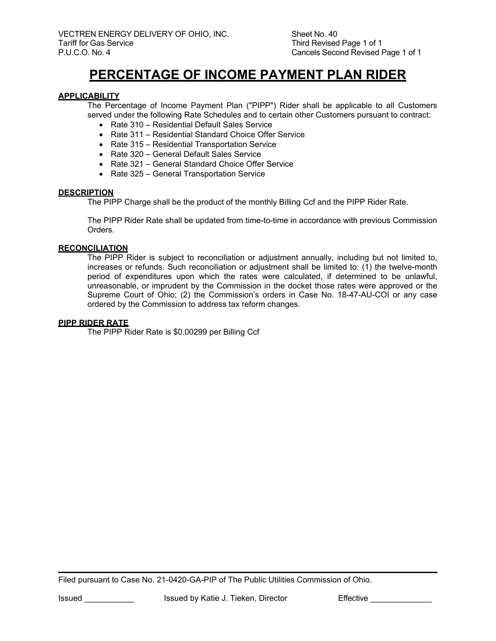# **PERCENTAGE OF INCOME PAYMENT PLAN RIDER**

## **APPLICABILITY**

The Percentage of Income Payment Plan ("PIPP") Rider shall be applicable to all Customers served under the following Rate Schedules and to certain other Customers pursuant to contract:

- Rate 310 Residential Default Sales Service
- Rate 311 Residential Standard Choice Offer Service
- Rate 315 Residential Transportation Service
- Rate 320 General Default Sales Service
- Rate 321 General Standard Choice Offer Service
- Rate 325 General Transportation Service

## **DESCRIPTION**

The PIPP Charge shall be the product of the monthly Billing Ccf and the PIPP Rider Rate.

The PIPP Rider Rate shall be updated from time-to-time in accordance with previous Commission Orders.

## **RECONCILIATION**

The PIPP Rider is subject to reconciliation or adjustment annually, including but not limited to, increases or refunds. Such reconciliation or adjustment shall be limited to: (1) the twelve-month period of expenditures upon which the rates were calculated, if determined to be unlawful, unreasonable, or imprudent by the Commission in the docket those rates were approved or the Supreme Court of Ohio; (2) the Commission's orders in Case No. 18-47-AU-COI or any case ordered by the Commission to address tax reform changes.

## **PIPP RIDER RATE**

The PIPP Rider Rate is \$0.00299 per Billing Ccf

Filed pursuant to Case No. 21-0420-GA-PIP of The Public Utilities Commission of Ohio.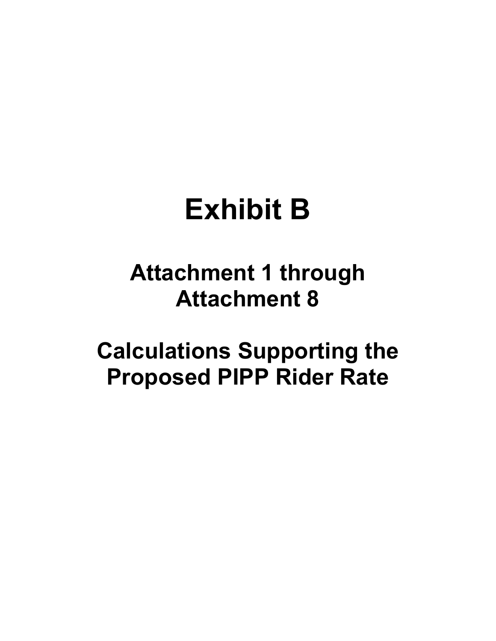# **Exhibit B**

# **Attachment 1 through Attachment 8**

**Calculations Supporting the Proposed PIPP Rider Rate**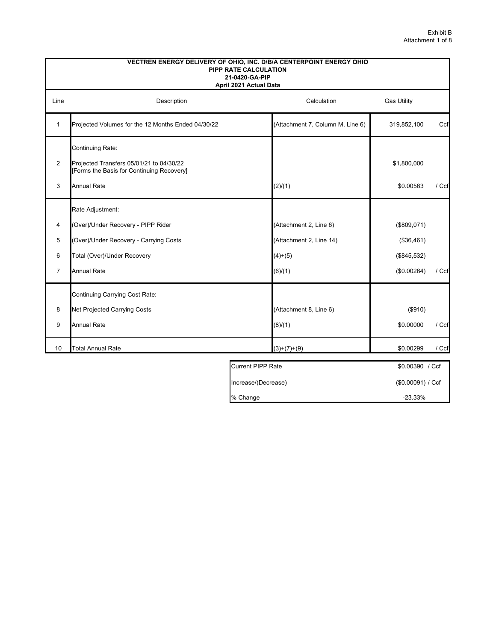|                | VECTREN ENERGY DELIVERY OF OHIO, INC. D/B/A CENTERPOINT ENERGY OHIO<br><b>PIPP RATE CALCULATION</b><br>21-0420-GA-PIP<br>April 2021 Actual Data |                                  |             |         |  |  |  |  |  |  |
|----------------|-------------------------------------------------------------------------------------------------------------------------------------------------|----------------------------------|-------------|---------|--|--|--|--|--|--|
| Line           | <b>Gas Utility</b><br>Description<br>Calculation                                                                                                |                                  |             |         |  |  |  |  |  |  |
| $\mathbf{1}$   | Projected Volumes for the 12 Months Ended 04/30/22                                                                                              | (Attachment 7, Column M, Line 6) | 319,852,100 | Ccf     |  |  |  |  |  |  |
|                | Continuing Rate:                                                                                                                                |                                  |             |         |  |  |  |  |  |  |
| $\overline{2}$ | Projected Transfers 05/01/21 to 04/30/22<br>[Forms the Basis for Continuing Recovery]                                                           |                                  | \$1,800,000 |         |  |  |  |  |  |  |
| 3              | <b>Annual Rate</b>                                                                                                                              | (2)/(1)                          | \$0.00563   | $/$ Ccf |  |  |  |  |  |  |
|                | Rate Adjustment:                                                                                                                                |                                  |             |         |  |  |  |  |  |  |
| 4              | (Over)/Under Recovery - PIPP Rider                                                                                                              | (Attachment 2, Line 6)           | (\$809.071) |         |  |  |  |  |  |  |
| 5              | (Over)/Under Recovery - Carrying Costs                                                                                                          | (Attachment 2, Line 14)          | (\$36,461)  |         |  |  |  |  |  |  |
| 6              | Total (Over)/Under Recovery                                                                                                                     | $(4)+(5)$                        | (\$845,532) |         |  |  |  |  |  |  |
| $\overline{7}$ | <b>Annual Rate</b>                                                                                                                              | (6)/(1)                          | (\$0.00264) | / Ccf   |  |  |  |  |  |  |
|                | Continuing Carrying Cost Rate:                                                                                                                  |                                  |             |         |  |  |  |  |  |  |
| 8              | Net Projected Carrying Costs                                                                                                                    | (Attachment 8, Line 6)           | (\$910)     |         |  |  |  |  |  |  |
| 9              | <b>Annual Rate</b>                                                                                                                              | (8)/(1)                          | \$0.00000   | / Ccf   |  |  |  |  |  |  |
| 10             | <b>Total Annual Rate</b>                                                                                                                        | $(3)+(7)+(9)$                    | \$0.00299   | / Ccf   |  |  |  |  |  |  |

| Current PIPP Rate   | \$0.00390 / Ccf  |
|---------------------|------------------|
| Increase/(Decrease) | (S0.00091) / Ccf |
| % Change            | $-23.33%$        |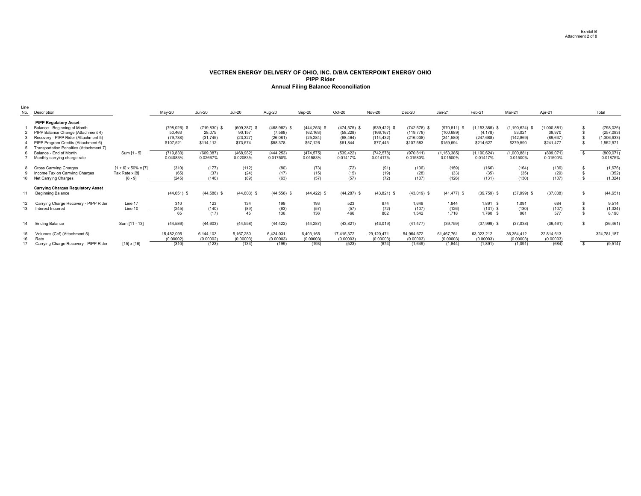#### **VECTREN ENERGY DELIVERY OF OHIO, INC. D/B/A CENTERPOINT ENERGY OHIO PIPP RiderAnnual Filing Balance Reconciliation**

| Line<br>No.     | Description                                                                                                                                                                                                                  |                                                                 | $May-20$                                            | <b>Jun-20</b>                                      | <b>Jul-20</b>                                      | Aug-20                                              | Sep-20                                                | Oct-20                                                | <b>Nov-20</b>                                           | $Dec-20$                                                 | $Jan-21$                                                 | Feb-21                                                  | Mar-21                                                  | Apr-21                                          |     | Total                                                |
|-----------------|------------------------------------------------------------------------------------------------------------------------------------------------------------------------------------------------------------------------------|-----------------------------------------------------------------|-----------------------------------------------------|----------------------------------------------------|----------------------------------------------------|-----------------------------------------------------|-------------------------------------------------------|-------------------------------------------------------|---------------------------------------------------------|----------------------------------------------------------|----------------------------------------------------------|---------------------------------------------------------|---------------------------------------------------------|-------------------------------------------------|-----|------------------------------------------------------|
|                 | <b>PIPP Regulatory Asset</b><br>Balance - Beginning of Month<br>PIPP Balance Change (Attachment 4)<br>Recovery - PIPP Rider (Attachment 5)<br>PIPP Program Credits (Attachment 6)<br>Transportation Penalties (Attachment 7) |                                                                 | $(798, 026)$ \$<br>50.463<br>(79, 788)<br>\$107,521 | $(719, 830)$ \$<br>28,075<br>(31,745)<br>\$114,112 | $(609, 387)$ \$<br>90.157<br>(23, 327)<br>\$73,574 | $(468,982)$ \$<br>(7, 568)<br>(26, 081)<br>\$58,378 | $(444, 253)$ \$<br>(62, 163)<br>(25, 284)<br>\$57,126 | $(474, 575)$ \$<br>(58, 228)<br>(68, 464)<br>\$61,844 | $(539, 422)$ \$<br>(166, 167)<br>(114, 432)<br>\$77,443 | $(742, 578)$ \$<br>(119, 778)<br>(216, 038)<br>\$107,583 | $(970, 811)$ \$<br>(100, 689)<br>(241, 580)<br>\$159,694 | $1,153,385$ ) \$<br>(4, 178)<br>(247, 688)<br>\$214,627 | $(1, 190, 624)$ \$<br>53.021<br>(142, 869)<br>\$279,590 | (1,000,881)<br>39,970<br>(89, 637)<br>\$241,477 |     | (798, 026)<br>(257, 083)<br>(1,306,933)<br>1,552,971 |
|                 | Balance - End of Month<br>Monthly carrying charge rate                                                                                                                                                                       | Sum [1 - 5]                                                     | (719, 830)<br>0.04083%                              | (609, 387)<br>0.02667%                             | (468, 982)<br>0.02083%                             | (444, 253)<br>0.01750%                              | (474, 575)<br>0.01583%                                | (539, 422)<br>0.01417%                                | (742, 578)<br>0.01417%                                  | (970, 811)<br>0.01583%                                   | 1,153,385)<br>0.01500%                                   | (1, 190, 624)<br>0.01417%                               | 1,000,881)<br>0.01500%                                  | (809, 071)<br>0.01500%                          |     | (809, 071)<br>0.01875%                               |
|                 | 8 Gross Carrying Charges<br>Income Tax on Carrying Charges<br>Net Carrying Charges                                                                                                                                           | $[1 + 6] \times 50\% \times [7]$<br>Tax Rate x [8]<br>$[8 - 9]$ | (310)<br>(65)<br>(245)                              | (177)<br>(37)<br>(140)                             | (112)<br>(24)<br>(89)                              | (80)<br>(17)<br>(63)                                | (73)<br>(15)<br>(57)                                  | (72)<br>(15)<br>(57)                                  | (91)<br>(19)<br>(72)                                    | (136)<br>(28)<br>(107)                                   | (159)<br>(33)<br>(126)                                   | (166)<br>(35)<br>(131)                                  | (164)<br>(35)<br>(130)                                  | (136)<br>(29)<br>(107)                          |     | (1,676)<br>(352)<br>(1, 324)                         |
|                 | <b>Carrying Charges Regulatory Asset</b><br><b>Beginning Balance</b>                                                                                                                                                         |                                                                 | $(44, 651)$ \$                                      | $(44,586)$ \$                                      | $(44, 603)$ \$                                     | $(44,558)$ \$                                       | $(44, 422)$ \$                                        | $(44, 287)$ \$                                        | $(43,821)$ \$                                           | $(43,019)$ \$                                            | $(41, 477)$ \$                                           | $(39,759)$ \$                                           | $(37,999)$ \$                                           | (37,038)                                        | \$. | (44, 651)                                            |
| 13 <sup>1</sup> | Carrying Charge Recovery - PIPP Rider<br>Interest Incurred                                                                                                                                                                   | Line 17<br>Line 10                                              | 310<br>(245)<br>65                                  | 123<br>(140)<br>(17)                               | 134<br>(89)<br>45                                  | 199<br>(63)<br>136                                  | 193<br>(57)<br>136                                    | 523<br>(57)<br>466                                    | 874<br>(72)<br>802                                      | 1.649<br>(107)<br>1.542                                  | 1,844<br>(126)<br>1.718                                  | 1,891 \$<br>$(131)$ \$<br>$1,760$ \$                    | 1,091<br>(130)<br>961                                   | 684<br>(107)<br>577                             |     | 9,514<br>(1, 324)<br>8,190                           |
| 14              | <b>Ending Balance</b>                                                                                                                                                                                                        | Sum [11 - 13]                                                   | (44, 586)                                           | (44, 603)                                          | (44, 558)                                          | (44, 422)                                           | (44, 287)                                             | (43, 821)                                             | (43,019)                                                | (41, 477)                                                | (39, 759)                                                | $(37,999)$ \$                                           | (37,038)                                                | (36, 461)                                       |     | (36, 461)                                            |
|                 | Volumes (Ccf) (Attachment 5)<br>Rate<br>Carrying Charge Recovery - PIPP Rider                                                                                                                                                | $[15] \times [16]$                                              | 15,482,095<br>(0.00002)<br>(310)                    | 6,144,103<br>(0.00002)<br>(123)                    | 5,167,280<br>(0.00003)<br>(134)                    | 6,424,031<br>(0.00003)<br>(199)                     | 6,403,165<br>(0.00003)<br>(193)                       | 17,415,372<br>(0.00003)<br>(523)                      | 29,120,471<br>(0.00003)<br>(874)                        | 54,964,672<br>(0.00003)<br>(1,649)                       | 61,467,761<br>(0.00003)<br>(1, 844)                      | 63,023,212<br>(0.00003)<br>(1,891)                      | 36,354,412<br>(0.00003)<br>(1,091)                      | 22,814,613<br>(0.00003)<br>(684)                |     | 324,781,187<br>(9, 514)                              |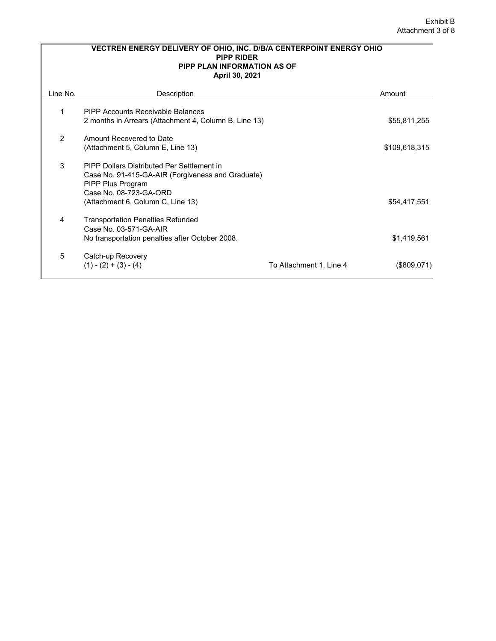|          | VECTREN ENERGY DELIVERY OF OHIO, INC. D/B/A CENTERPOINT ENERGY OHIO<br><b>PIPP RIDER</b><br><b>PIPP PLAN INFORMATION AS OF</b><br>April 30, 2021                                    |                         |               |  |  |  |  |  |  |
|----------|-------------------------------------------------------------------------------------------------------------------------------------------------------------------------------------|-------------------------|---------------|--|--|--|--|--|--|
| Line No. | Description                                                                                                                                                                         |                         | Amount        |  |  |  |  |  |  |
| 1        | <b>PIPP Accounts Receivable Balances</b><br>2 months in Arrears (Attachment 4, Column B, Line 13)                                                                                   |                         | \$55,811,255  |  |  |  |  |  |  |
| 2        | Amount Recovered to Date<br>(Attachment 5, Column E, Line 13)                                                                                                                       |                         | \$109,618,315 |  |  |  |  |  |  |
| 3        | PIPP Dollars Distributed Per Settlement in<br>Case No. 91-415-GA-AIR (Forgiveness and Graduate)<br>PIPP Plus Program<br>Case No. 08-723-GA-ORD<br>(Attachment 6, Column C, Line 13) |                         | \$54,417,551  |  |  |  |  |  |  |
| 4        | <b>Transportation Penalties Refunded</b><br>Case No. 03-571-GA-AIR<br>No transportation penalties after October 2008.                                                               |                         | \$1,419,561   |  |  |  |  |  |  |
| 5        | Catch-up Recovery<br>$(1) - (2) + (3) - (4)$                                                                                                                                        | To Attachment 1, Line 4 | (\$809.0      |  |  |  |  |  |  |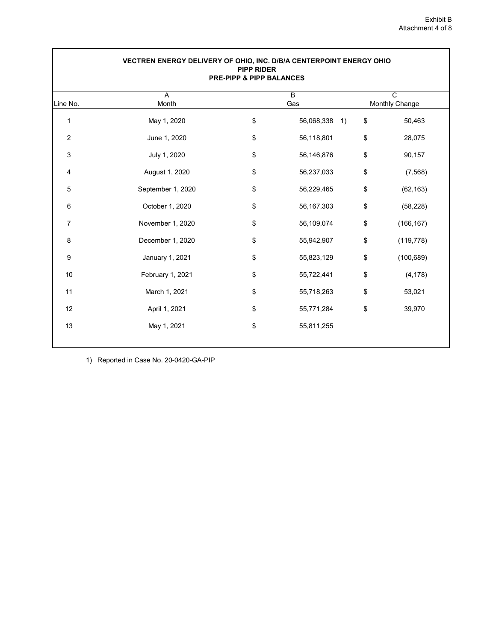| VECTREN ENERGY DELIVERY OF OHIO, INC. D/B/A CENTERPOINT ENERGY OHIO<br><b>PIPP RIDER</b><br><b>PRE-PIPP &amp; PIPP BALANCES</b> |                   |    |                                                               |    |            |  |  |  |  |
|---------------------------------------------------------------------------------------------------------------------------------|-------------------|----|---------------------------------------------------------------|----|------------|--|--|--|--|
| $\overline{A}$<br>$\overline{B}$<br>$\overline{c}$<br>Monthly Change<br>Month<br>Gas<br>Line No.                                |                   |    |                                                               |    |            |  |  |  |  |
| 1                                                                                                                               | May 1, 2020       | \$ | 56,068,338<br>$\left( \begin{array}{c} 1 \end{array} \right)$ | \$ | 50,463     |  |  |  |  |
| $\overline{2}$                                                                                                                  | June 1, 2020      | \$ | 56,118,801                                                    | \$ | 28,075     |  |  |  |  |
| 3                                                                                                                               | July 1, 2020      | \$ | 56,146,876                                                    | \$ | 90,157     |  |  |  |  |
| $\overline{4}$                                                                                                                  | August 1, 2020    | \$ | 56,237,033                                                    | \$ | (7, 568)   |  |  |  |  |
| 5                                                                                                                               | September 1, 2020 | \$ | 56,229,465                                                    | \$ | (62, 163)  |  |  |  |  |
| 6                                                                                                                               | October 1, 2020   | \$ | 56, 167, 303                                                  | \$ | (58, 228)  |  |  |  |  |
| $\overline{7}$                                                                                                                  | November 1, 2020  | \$ | 56,109,074                                                    | \$ | (166, 167) |  |  |  |  |
| $\,8\,$                                                                                                                         | December 1, 2020  | \$ | 55,942,907                                                    | \$ | (119, 778) |  |  |  |  |
| $\boldsymbol{9}$                                                                                                                | January 1, 2021   | \$ | 55,823,129                                                    | \$ | (100, 689) |  |  |  |  |
| 10                                                                                                                              | February 1, 2021  | \$ | 55,722,441                                                    | \$ | (4, 178)   |  |  |  |  |
| 11                                                                                                                              | March 1, 2021     | \$ | 55,718,263                                                    | \$ | 53,021     |  |  |  |  |
| 12                                                                                                                              | April 1, 2021     | \$ | 55,771,284                                                    | \$ | 39,970     |  |  |  |  |
| 13                                                                                                                              | May 1, 2021       | \$ | 55,811,255                                                    |    |            |  |  |  |  |

1) Reported in Case No. 20-0420-GA-PIP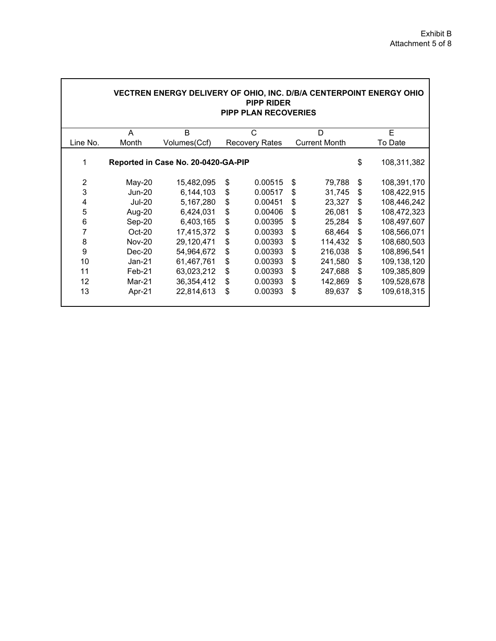|                | VECTREN ENERGY DELIVERY OF OHIO, INC. D/B/A CENTERPOINT ENERGY OHIO<br><b>PIPP RIDER</b><br><b>PIPP PLAN RECOVERIES</b> |              |    |                       |    |                      |    |             |  |  |  |  |  |
|----------------|-------------------------------------------------------------------------------------------------------------------------|--------------|----|-----------------------|----|----------------------|----|-------------|--|--|--|--|--|
|                | A                                                                                                                       | B            |    | C                     |    | D                    |    | E           |  |  |  |  |  |
| Line No.       | Month                                                                                                                   | Volumes(Ccf) |    | <b>Recovery Rates</b> |    | <b>Current Month</b> |    | To Date     |  |  |  |  |  |
| 1              | Reported in Case No. 20-0420-GA-PIP                                                                                     |              |    |                       |    |                      | \$ | 108,311,382 |  |  |  |  |  |
| $\overline{2}$ | $May-20$                                                                                                                | 15,482,095   | \$ | 0.00515               | \$ | 79,788               | \$ | 108,391,170 |  |  |  |  |  |
| 3              | <b>Jun-20</b>                                                                                                           | 6,144,103    | \$ | 0.00517               | \$ | 31,745               | \$ | 108,422,915 |  |  |  |  |  |
| 4              | <b>Jul-20</b>                                                                                                           | 5,167,280    | \$ | 0.00451               | \$ | 23,327               | \$ | 108,446,242 |  |  |  |  |  |
| 5              | Aug-20                                                                                                                  | 6,424,031    | \$ | 0.00406               | \$ | 26,081               | \$ | 108,472,323 |  |  |  |  |  |
| $\,6$          | Sep-20                                                                                                                  | 6,403,165    | \$ | 0.00395               | \$ | 25,284               | \$ | 108,497,607 |  |  |  |  |  |
| 7              | Oct-20                                                                                                                  | 17,415,372   | \$ | 0.00393               | \$ | 68,464               | \$ | 108,566,071 |  |  |  |  |  |
| 8              | <b>Nov-20</b>                                                                                                           | 29,120,471   | \$ | 0.00393               | \$ | 114,432              | \$ | 108,680,503 |  |  |  |  |  |
| 9              | $Dec-20$                                                                                                                | 54,964,672   | \$ | 0.00393               | \$ | 216,038              | \$ | 108,896,541 |  |  |  |  |  |
| 10             | $Jan-21$                                                                                                                | 61,467,761   | \$ | 0.00393               | \$ | 241,580              | \$ | 109,138,120 |  |  |  |  |  |
| 11             | Feb-21                                                                                                                  | 63,023,212   | \$ | 0.00393               | \$ | 247,688              | \$ | 109,385,809 |  |  |  |  |  |
| 12             | Mar-21                                                                                                                  | 36,354,412   | \$ | 0.00393               | \$ | 142,869              | \$ | 109,528,678 |  |  |  |  |  |
| 13             | Apr-21                                                                                                                  | 22,814,613   | \$ | 0.00393               | \$ | 89,637               | \$ | 109,618,315 |  |  |  |  |  |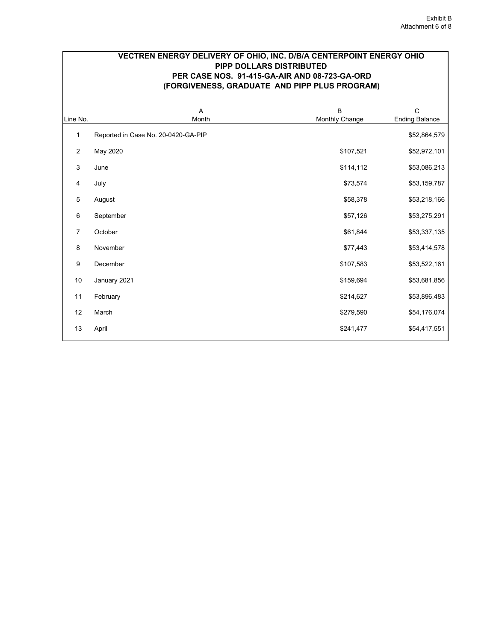## **VECTREN ENERGY DELIVERY OF OHIO, INC. D/B/A CENTERPOINT ENERGY OHIO PIPP DOLLARS DISTRIBUTED PER CASE NOS. 91-415-GA-AIR AND 08-723-GA-ORD (FORGIVENESS, GRADUATE AND PIPP PLUS PROGRAM)**

| Line No.       | A<br>Month                          | $\overline{B}$<br>Monthly Change | $\overline{\text{c}}$<br><b>Ending Balance</b> |
|----------------|-------------------------------------|----------------------------------|------------------------------------------------|
| 1              | Reported in Case No. 20-0420-GA-PIP |                                  | \$52,864,579                                   |
| $\overline{c}$ | May 2020                            | \$107,521                        | \$52,972,101                                   |
| 3              | June                                | \$114,112                        | \$53,086,213                                   |
| 4              | July                                | \$73,574                         | \$53,159,787                                   |
| 5              | August                              | \$58,378                         | \$53,218,166                                   |
| 6              | September                           | \$57,126                         | \$53,275,291                                   |
| 7              | October                             | \$61,844                         | \$53,337,135                                   |
| 8              | November                            | \$77,443                         | \$53,414,578                                   |
| 9              | December                            | \$107,583                        | \$53,522,161                                   |
| 10             | January 2021                        | \$159,694                        | \$53,681,856                                   |
| 11             | February                            | \$214,627                        | \$53,896,483                                   |
| 12             | March                               | \$279,590                        | \$54,176,074                                   |
| 13             | April                               | \$241,477                        | \$54,417,551                                   |
|                |                                     |                                  |                                                |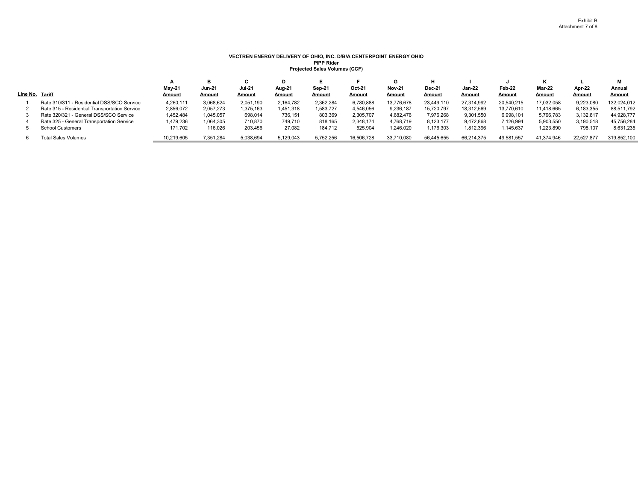#### **VECTREN ENERGY DELIVERY OF OHIO, INC. D/B/A CENTERPOINT ENERGY OHIO PIPP RiderProjected Sales Volumes (CCF)**

|                 |                                               |              |               |               |               |           |            |               |               |               |               |               |               | м             |
|-----------------|-----------------------------------------------|--------------|---------------|---------------|---------------|-----------|------------|---------------|---------------|---------------|---------------|---------------|---------------|---------------|
|                 |                                               | May-21       | <b>Jun-21</b> | <b>Jul 21</b> | Aug-21        | Sep-21    | Oct 21     | <b>Nov-21</b> | <b>Dec-21</b> | <b>Jan-22</b> | Feb-22        | <b>Mar-22</b> | Apr-22        | Annual        |
| Line No. Tariff |                                               | <b>Amoun</b> | Amount        | <b>Amount</b> | <b>Amount</b> | Amount    | Amount     | <u>Amount</u> | <b>Amount</b> | Amount        | <b>Amount</b> | <u>Amount</u> | <u>Amount</u> | <b>Amount</b> |
|                 | Rate 310/311 - Residential DSS/SCO Service    | 4.260.111    | 3.068.624     | 2.051.190     | 2.164.782     | 2.362.284 | 6,780,888  | 13.776.678    | 23.449.110    | 27.314.992    | 20.540.215    | 17.032.058    | 9.223.080     | 132,024,012   |
|                 | Rate 315 - Residential Transportation Service | 2.856.072    | 2.057.273     | 1.375.163     | 1.451.318     | 1.583.727 | 4.546.056  | 9.236.187     | 15.720.797    | 18.312.569    | 13.770.610    | 11.418.665    | 6.183.355     | 88,511,792    |
|                 | Rate 320/321 - General DSS/SCO Service        | 1.452.484    | 1.045.057     | 698.014       | 736.151       | 803.369   | 2.305.707  | 4.682.476     | 7.976.268     | 9,301,550     | 6,998,101     | 5,796,783     | 3.132.817     | 44,928,777    |
|                 | Rate 325 - General Transportation Service     | 1.479.236    | 1,064,305     | 710.870       | 749.710       | 818.165   | 2.348.174  | 4.768.719     | 8.123.177     | 9.472.868     | 7,126,994     | 5,903,550     | 3,190,518     | 45,756,284    |
|                 | <b>School Customers</b>                       | 171,702      | 116,026       | 203,456       | 27,082        | 184.712   | 525,904    | 1.246.020     | 1.176.303     | 1.812.396     | 1,145,637     | 1,223,890     | 798.107       | 8,631,235     |
|                 | <b>Total Sales Volumes</b>                    | 10,219,605   | 7,351,284     | 5,038,694     | 5,129,043     | 5,752,256 | 16,506,728 | 33,710,080    | 56,445,655    | 66,214,375    | 49,581,557    | 41,374,946    | 22,527,877    | 319,852,100   |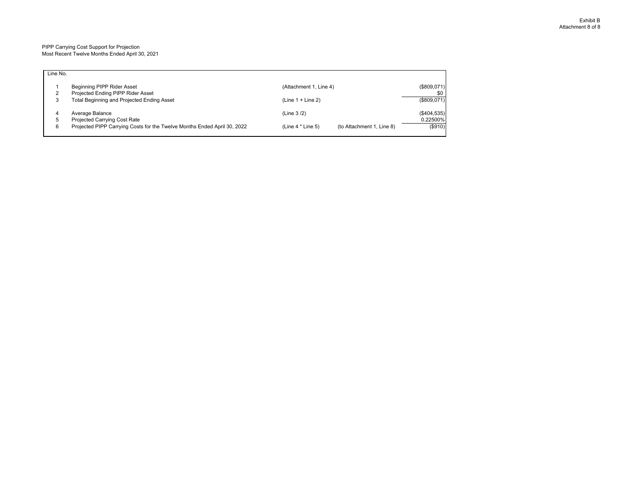#### PIPP Carrying Cost Support for Projection Most Recent Twelve Months Ended April 30, 2021

| Line No. |                                                                          |                                                  |                |
|----------|--------------------------------------------------------------------------|--------------------------------------------------|----------------|
|          | Beginning PIPP Rider Asset                                               | (Attachment 1, Line 4)                           | (\$809,071)    |
|          | Projected Ending PIPP Rider Asset                                        |                                                  | \$0            |
| 3        | Total Beginning and Projected Ending Asset                               | $(Line 1 + Line 2)$                              | (\$809,071)    |
|          | Average Balance                                                          | (Line 3/2)                                       | $($ \$404,535) |
| 5        | Projected Carrying Cost Rate                                             |                                                  | 0.22500%       |
| 6        | Projected PIPP Carrying Costs for the Twelve Months Ended April 30, 2022 | (to Attachment 1, Line 8)<br>$(Line 4 * Line 5)$ | (S910)         |
|          |                                                                          |                                                  |                |